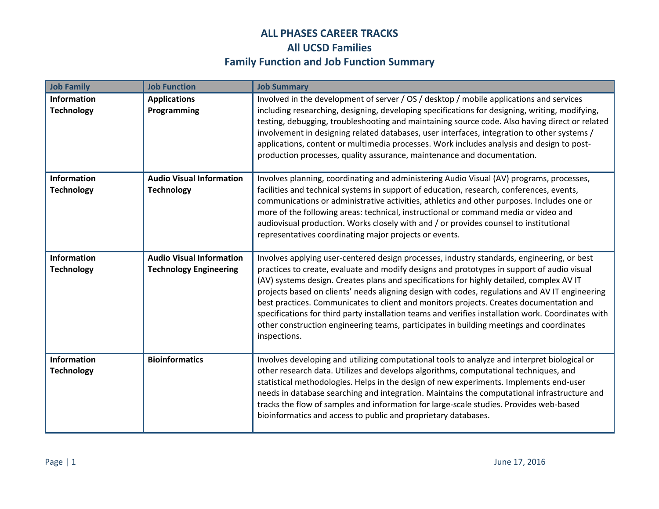| <b>Job Family</b>                       | <b>Job Function</b>                                              | <b>Job Summary</b>                                                                                                                                                                                                                                                                                                                                                                                                                                                                                                                                                                                                                                                                                 |
|-----------------------------------------|------------------------------------------------------------------|----------------------------------------------------------------------------------------------------------------------------------------------------------------------------------------------------------------------------------------------------------------------------------------------------------------------------------------------------------------------------------------------------------------------------------------------------------------------------------------------------------------------------------------------------------------------------------------------------------------------------------------------------------------------------------------------------|
| <b>Information</b><br><b>Technology</b> | <b>Applications</b><br>Programming                               | Involved in the development of server / OS / desktop / mobile applications and services<br>including researching, designing, developing specifications for designing, writing, modifying,<br>testing, debugging, troubleshooting and maintaining source code. Also having direct or related<br>involvement in designing related databases, user interfaces, integration to other systems /<br>applications, content or multimedia processes. Work includes analysis and design to post-<br>production processes, quality assurance, maintenance and documentation.                                                                                                                                 |
| Information<br><b>Technology</b>        | <b>Audio Visual Information</b><br><b>Technology</b>             | Involves planning, coordinating and administering Audio Visual (AV) programs, processes,<br>facilities and technical systems in support of education, research, conferences, events,<br>communications or administrative activities, athletics and other purposes. Includes one or<br>more of the following areas: technical, instructional or command media or video and<br>audiovisual production. Works closely with and / or provides counsel to institutional<br>representatives coordinating major projects or events.                                                                                                                                                                       |
| Information<br><b>Technology</b>        | <b>Audio Visual Information</b><br><b>Technology Engineering</b> | Involves applying user-centered design processes, industry standards, engineering, or best<br>practices to create, evaluate and modify designs and prototypes in support of audio visual<br>(AV) systems design. Creates plans and specifications for highly detailed, complex AV IT<br>projects based on clients' needs aligning design with codes, regulations and AV IT engineering<br>best practices. Communicates to client and monitors projects. Creates documentation and<br>specifications for third party installation teams and verifies installation work. Coordinates with<br>other construction engineering teams, participates in building meetings and coordinates<br>inspections. |
| Information<br><b>Technology</b>        | <b>Bioinformatics</b>                                            | Involves developing and utilizing computational tools to analyze and interpret biological or<br>other research data. Utilizes and develops algorithms, computational techniques, and<br>statistical methodologies. Helps in the design of new experiments. Implements end-user<br>needs in database searching and integration. Maintains the computational infrastructure and<br>tracks the flow of samples and information for large-scale studies. Provides web-based<br>bioinformatics and access to public and proprietary databases.                                                                                                                                                          |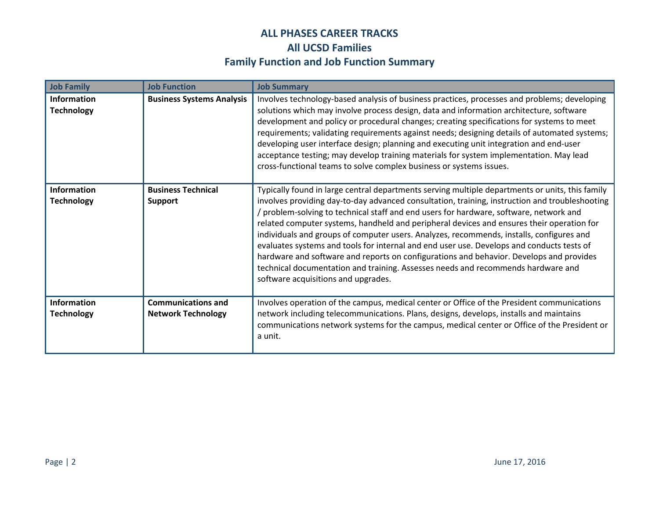| <b>Job Family</b>                       | <b>Job Function</b>                                    | <b>Job Summary</b>                                                                                                                                                                                                                                                                                                                                                                                                                                                                                                                                                                                                                                                                                                                                                                                      |
|-----------------------------------------|--------------------------------------------------------|---------------------------------------------------------------------------------------------------------------------------------------------------------------------------------------------------------------------------------------------------------------------------------------------------------------------------------------------------------------------------------------------------------------------------------------------------------------------------------------------------------------------------------------------------------------------------------------------------------------------------------------------------------------------------------------------------------------------------------------------------------------------------------------------------------|
| <b>Information</b><br><b>Technology</b> | <b>Business Systems Analysis</b>                       | Involves technology-based analysis of business practices, processes and problems; developing<br>solutions which may involve process design, data and information architecture, software<br>development and policy or procedural changes; creating specifications for systems to meet<br>requirements; validating requirements against needs; designing details of automated systems;<br>developing user interface design; planning and executing unit integration and end-user<br>acceptance testing; may develop training materials for system implementation. May lead<br>cross-functional teams to solve complex business or systems issues.                                                                                                                                                         |
| <b>Information</b><br><b>Technology</b> | <b>Business Technical</b><br><b>Support</b>            | Typically found in large central departments serving multiple departments or units, this family<br>involves providing day-to-day advanced consultation, training, instruction and troubleshooting<br>/ problem-solving to technical staff and end users for hardware, software, network and<br>related computer systems, handheld and peripheral devices and ensures their operation for<br>individuals and groups of computer users. Analyzes, recommends, installs, configures and<br>evaluates systems and tools for internal and end user use. Develops and conducts tests of<br>hardware and software and reports on configurations and behavior. Develops and provides<br>technical documentation and training. Assesses needs and recommends hardware and<br>software acquisitions and upgrades. |
| <b>Information</b><br><b>Technology</b> | <b>Communications and</b><br><b>Network Technology</b> | Involves operation of the campus, medical center or Office of the President communications<br>network including telecommunications. Plans, designs, develops, installs and maintains<br>communications network systems for the campus, medical center or Office of the President or<br>a unit.                                                                                                                                                                                                                                                                                                                                                                                                                                                                                                          |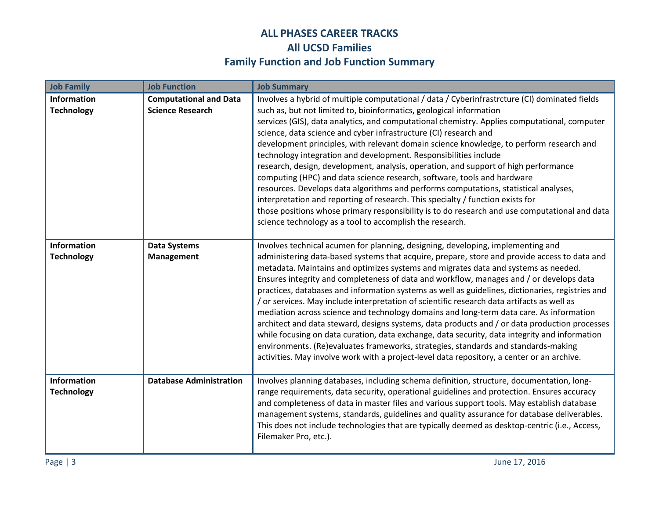| <b>Job Family</b>                | <b>Job Function</b>                                      | <b>Job Summary</b>                                                                                                                                                                                                                                                                                                                                                                                                                                                                                                                                                                                                                                                                                                                                                                                                                                                                                                                                                                                                                                  |
|----------------------------------|----------------------------------------------------------|-----------------------------------------------------------------------------------------------------------------------------------------------------------------------------------------------------------------------------------------------------------------------------------------------------------------------------------------------------------------------------------------------------------------------------------------------------------------------------------------------------------------------------------------------------------------------------------------------------------------------------------------------------------------------------------------------------------------------------------------------------------------------------------------------------------------------------------------------------------------------------------------------------------------------------------------------------------------------------------------------------------------------------------------------------|
| Information<br><b>Technology</b> | <b>Computational and Data</b><br><b>Science Research</b> | Involves a hybrid of multiple computational / data / Cyberinfrastrcture (CI) dominated fields<br>such as, but not limited to, bioinformatics, geological information<br>services (GIS), data analytics, and computational chemistry. Applies computational, computer<br>science, data science and cyber infrastructure (CI) research and<br>development principles, with relevant domain science knowledge, to perform research and<br>technology integration and development. Responsibilities include<br>research, design, development, analysis, operation, and support of high performance<br>computing (HPC) and data science research, software, tools and hardware<br>resources. Develops data algorithms and performs computations, statistical analyses,<br>interpretation and reporting of research. This specialty / function exists for<br>those positions whose primary responsibility is to do research and use computational and data<br>science technology as a tool to accomplish the research.                                    |
| Information<br><b>Technology</b> | <b>Data Systems</b><br><b>Management</b>                 | Involves technical acumen for planning, designing, developing, implementing and<br>administering data-based systems that acquire, prepare, store and provide access to data and<br>metadata. Maintains and optimizes systems and migrates data and systems as needed.<br>Ensures integrity and completeness of data and workflow, manages and / or develops data<br>practices, databases and information systems as well as guidelines, dictionaries, registries and<br>/ or services. May include interpretation of scientific research data artifacts as well as<br>mediation across science and technology domains and long-term data care. As information<br>architect and data steward, designs systems, data products and / or data production processes<br>while focusing on data curation, data exchange, data security, data integrity and information<br>environments. (Re)evaluates frameworks, strategies, standards and standards-making<br>activities. May involve work with a project-level data repository, a center or an archive. |
| Information<br><b>Technology</b> | <b>Database Administration</b>                           | Involves planning databases, including schema definition, structure, documentation, long-<br>range requirements, data security, operational guidelines and protection. Ensures accuracy<br>and completeness of data in master files and various support tools. May establish database<br>management systems, standards, guidelines and quality assurance for database deliverables.<br>This does not include technologies that are typically deemed as desktop-centric (i.e., Access,<br>Filemaker Pro, etc.).                                                                                                                                                                                                                                                                                                                                                                                                                                                                                                                                      |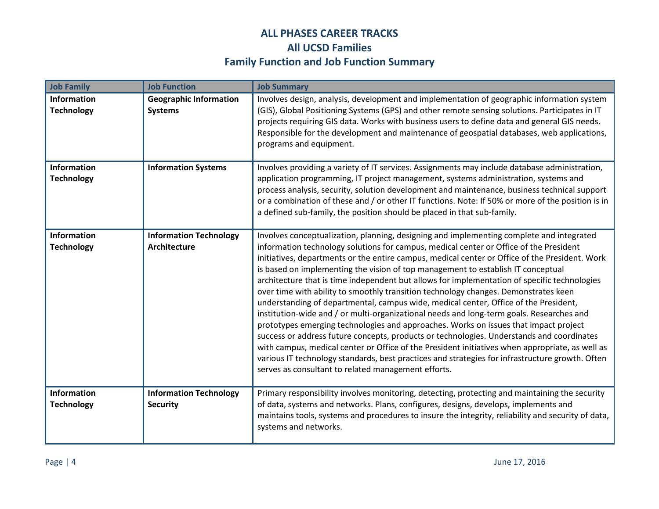| <b>Job Family</b>                       | <b>Job Function</b>                                  | <b>Job Summary</b>                                                                                                                                                                                                                                                                                                                                                                                                                                                                                                                                                                                                                                                                                                                                                                                                                                                                                                                                                                                                                                                                                                                                                                                    |
|-----------------------------------------|------------------------------------------------------|-------------------------------------------------------------------------------------------------------------------------------------------------------------------------------------------------------------------------------------------------------------------------------------------------------------------------------------------------------------------------------------------------------------------------------------------------------------------------------------------------------------------------------------------------------------------------------------------------------------------------------------------------------------------------------------------------------------------------------------------------------------------------------------------------------------------------------------------------------------------------------------------------------------------------------------------------------------------------------------------------------------------------------------------------------------------------------------------------------------------------------------------------------------------------------------------------------|
| <b>Information</b><br><b>Technology</b> | <b>Geographic Information</b><br><b>Systems</b>      | Involves design, analysis, development and implementation of geographic information system<br>(GIS), Global Positioning Systems (GPS) and other remote sensing solutions. Participates in IT<br>projects requiring GIS data. Works with business users to define data and general GIS needs.<br>Responsible for the development and maintenance of geospatial databases, web applications,<br>programs and equipment.                                                                                                                                                                                                                                                                                                                                                                                                                                                                                                                                                                                                                                                                                                                                                                                 |
| <b>Information</b><br><b>Technology</b> | <b>Information Systems</b>                           | Involves providing a variety of IT services. Assignments may include database administration,<br>application programming, IT project management, systems administration, systems and<br>process analysis, security, solution development and maintenance, business technical support<br>or a combination of these and / or other IT functions. Note: If 50% or more of the position is in<br>a defined sub-family, the position should be placed in that sub-family.                                                                                                                                                                                                                                                                                                                                                                                                                                                                                                                                                                                                                                                                                                                                  |
| <b>Information</b><br><b>Technology</b> | <b>Information Technology</b><br><b>Architecture</b> | Involves conceptualization, planning, designing and implementing complete and integrated<br>information technology solutions for campus, medical center or Office of the President<br>initiatives, departments or the entire campus, medical center or Office of the President. Work<br>is based on implementing the vision of top management to establish IT conceptual<br>architecture that is time independent but allows for implementation of specific technologies<br>over time with ability to smoothly transition technology changes. Demonstrates keen<br>understanding of departmental, campus wide, medical center, Office of the President,<br>institution-wide and / or multi-organizational needs and long-term goals. Researches and<br>prototypes emerging technologies and approaches. Works on issues that impact project<br>success or address future concepts, products or technologies. Understands and coordinates<br>with campus, medical center or Office of the President initiatives when appropriate, as well as<br>various IT technology standards, best practices and strategies for infrastructure growth. Often<br>serves as consultant to related management efforts. |
| <b>Information</b><br><b>Technology</b> | <b>Information Technology</b><br><b>Security</b>     | Primary responsibility involves monitoring, detecting, protecting and maintaining the security<br>of data, systems and networks. Plans, configures, designs, develops, implements and<br>maintains tools, systems and procedures to insure the integrity, reliability and security of data,<br>systems and networks.                                                                                                                                                                                                                                                                                                                                                                                                                                                                                                                                                                                                                                                                                                                                                                                                                                                                                  |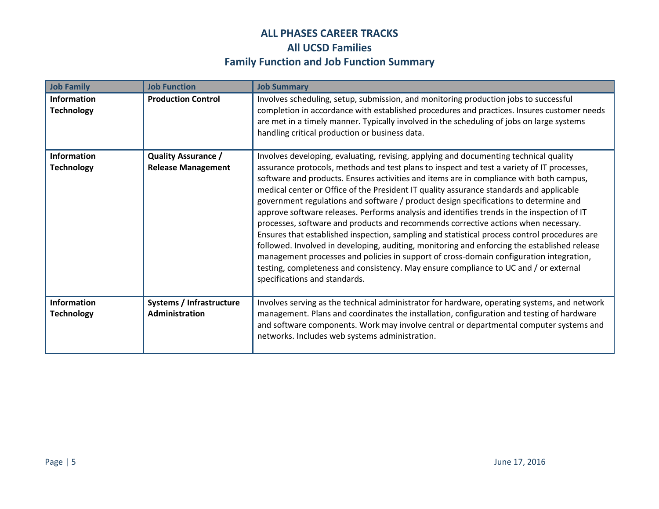| <b>Job Family</b>                       | <b>Job Function</b>                                     | <b>Job Summary</b>                                                                                                                                                                                                                                                                                                                                                                                                                                                                                                                                                                                                                                                                                                                                                                                                                                                                                                                                                                                                                                                        |
|-----------------------------------------|---------------------------------------------------------|---------------------------------------------------------------------------------------------------------------------------------------------------------------------------------------------------------------------------------------------------------------------------------------------------------------------------------------------------------------------------------------------------------------------------------------------------------------------------------------------------------------------------------------------------------------------------------------------------------------------------------------------------------------------------------------------------------------------------------------------------------------------------------------------------------------------------------------------------------------------------------------------------------------------------------------------------------------------------------------------------------------------------------------------------------------------------|
| <b>Information</b><br><b>Technology</b> | <b>Production Control</b>                               | Involves scheduling, setup, submission, and monitoring production jobs to successful<br>completion in accordance with established procedures and practices. Insures customer needs<br>are met in a timely manner. Typically involved in the scheduling of jobs on large systems<br>handling critical production or business data.                                                                                                                                                                                                                                                                                                                                                                                                                                                                                                                                                                                                                                                                                                                                         |
| <b>Information</b><br><b>Technology</b> | <b>Quality Assurance /</b><br><b>Release Management</b> | Involves developing, evaluating, revising, applying and documenting technical quality<br>assurance protocols, methods and test plans to inspect and test a variety of IT processes,<br>software and products. Ensures activities and items are in compliance with both campus,<br>medical center or Office of the President IT quality assurance standards and applicable<br>government regulations and software / product design specifications to determine and<br>approve software releases. Performs analysis and identifies trends in the inspection of IT<br>processes, software and products and recommends corrective actions when necessary.<br>Ensures that established inspection, sampling and statistical process control procedures are<br>followed. Involved in developing, auditing, monitoring and enforcing the established release<br>management processes and policies in support of cross-domain configuration integration,<br>testing, completeness and consistency. May ensure compliance to UC and / or external<br>specifications and standards. |
| <b>Information</b><br><b>Technology</b> | Systems / Infrastructure<br>Administration              | Involves serving as the technical administrator for hardware, operating systems, and network<br>management. Plans and coordinates the installation, configuration and testing of hardware<br>and software components. Work may involve central or departmental computer systems and<br>networks. Includes web systems administration.                                                                                                                                                                                                                                                                                                                                                                                                                                                                                                                                                                                                                                                                                                                                     |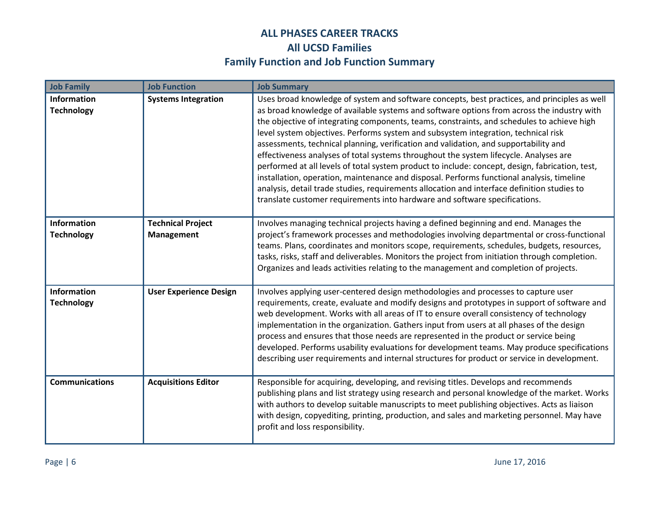| <b>Job Family</b>                       | <b>Job Function</b>                    | <b>Job Summary</b>                                                                                                                                                                                                                                                                                                                                                                                                                                                                                                                                                                                                                                                                                                                                                                                                                                                                                                                           |
|-----------------------------------------|----------------------------------------|----------------------------------------------------------------------------------------------------------------------------------------------------------------------------------------------------------------------------------------------------------------------------------------------------------------------------------------------------------------------------------------------------------------------------------------------------------------------------------------------------------------------------------------------------------------------------------------------------------------------------------------------------------------------------------------------------------------------------------------------------------------------------------------------------------------------------------------------------------------------------------------------------------------------------------------------|
| <b>Information</b><br><b>Technology</b> | <b>Systems Integration</b>             | Uses broad knowledge of system and software concepts, best practices, and principles as well<br>as broad knowledge of available systems and software options from across the industry with<br>the objective of integrating components, teams, constraints, and schedules to achieve high<br>level system objectives. Performs system and subsystem integration, technical risk<br>assessments, technical planning, verification and validation, and supportability and<br>effectiveness analyses of total systems throughout the system lifecycle. Analyses are<br>performed at all levels of total system product to include: concept, design, fabrication, test,<br>installation, operation, maintenance and disposal. Performs functional analysis, timeline<br>analysis, detail trade studies, requirements allocation and interface definition studies to<br>translate customer requirements into hardware and software specifications. |
| <b>Information</b><br><b>Technology</b> | <b>Technical Project</b><br>Management | Involves managing technical projects having a defined beginning and end. Manages the<br>project's framework processes and methodologies involving departmental or cross-functional<br>teams. Plans, coordinates and monitors scope, requirements, schedules, budgets, resources,<br>tasks, risks, staff and deliverables. Monitors the project from initiation through completion.<br>Organizes and leads activities relating to the management and completion of projects.                                                                                                                                                                                                                                                                                                                                                                                                                                                                  |
| <b>Information</b><br><b>Technology</b> | <b>User Experience Design</b>          | Involves applying user-centered design methodologies and processes to capture user<br>requirements, create, evaluate and modify designs and prototypes in support of software and<br>web development. Works with all areas of IT to ensure overall consistency of technology<br>implementation in the organization. Gathers input from users at all phases of the design<br>process and ensures that those needs are represented in the product or service being<br>developed. Performs usability evaluations for development teams. May produce specifications<br>describing user requirements and internal structures for product or service in development.                                                                                                                                                                                                                                                                               |
| <b>Communications</b>                   | <b>Acquisitions Editor</b>             | Responsible for acquiring, developing, and revising titles. Develops and recommends<br>publishing plans and list strategy using research and personal knowledge of the market. Works<br>with authors to develop suitable manuscripts to meet publishing objectives. Acts as liaison<br>with design, copyediting, printing, production, and sales and marketing personnel. May have<br>profit and loss responsibility.                                                                                                                                                                                                                                                                                                                                                                                                                                                                                                                        |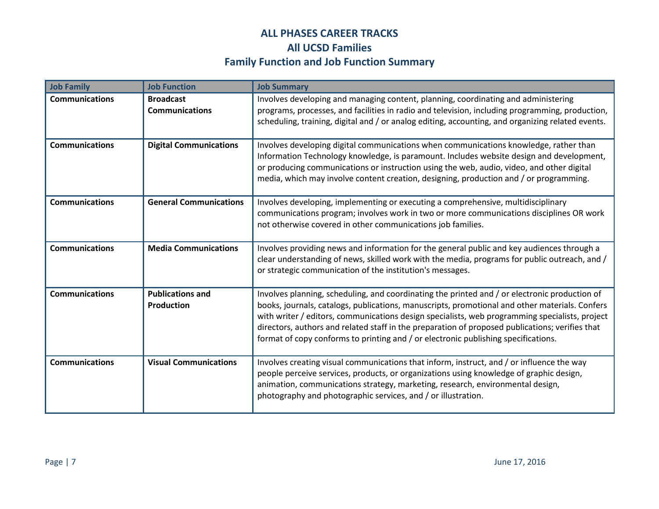| <b>Job Family</b>     | <b>Job Function</b>                          | <b>Job Summary</b>                                                                                                                                                                                                                                                                                                                                                                                                                                                                         |
|-----------------------|----------------------------------------------|--------------------------------------------------------------------------------------------------------------------------------------------------------------------------------------------------------------------------------------------------------------------------------------------------------------------------------------------------------------------------------------------------------------------------------------------------------------------------------------------|
| <b>Communications</b> | <b>Broadcast</b><br><b>Communications</b>    | Involves developing and managing content, planning, coordinating and administering<br>programs, processes, and facilities in radio and television, including programming, production,<br>scheduling, training, digital and / or analog editing, accounting, and organizing related events.                                                                                                                                                                                                 |
| <b>Communications</b> | <b>Digital Communications</b>                | Involves developing digital communications when communications knowledge, rather than<br>Information Technology knowledge, is paramount. Includes website design and development,<br>or producing communications or instruction using the web, audio, video, and other digital<br>media, which may involve content creation, designing, production and / or programming.                                                                                                                   |
| <b>Communications</b> | <b>General Communications</b>                | Involves developing, implementing or executing a comprehensive, multidisciplinary<br>communications program; involves work in two or more communications disciplines OR work<br>not otherwise covered in other communications job families.                                                                                                                                                                                                                                                |
| <b>Communications</b> | <b>Media Communications</b>                  | Involves providing news and information for the general public and key audiences through a<br>clear understanding of news, skilled work with the media, programs for public outreach, and /<br>or strategic communication of the institution's messages.                                                                                                                                                                                                                                   |
| <b>Communications</b> | <b>Publications and</b><br><b>Production</b> | Involves planning, scheduling, and coordinating the printed and / or electronic production of<br>books, journals, catalogs, publications, manuscripts, promotional and other materials. Confers<br>with writer / editors, communications design specialists, web programming specialists, project<br>directors, authors and related staff in the preparation of proposed publications; verifies that<br>format of copy conforms to printing and / or electronic publishing specifications. |
| <b>Communications</b> | <b>Visual Communications</b>                 | Involves creating visual communications that inform, instruct, and / or influence the way<br>people perceive services, products, or organizations using knowledge of graphic design,<br>animation, communications strategy, marketing, research, environmental design,<br>photography and photographic services, and / or illustration.                                                                                                                                                    |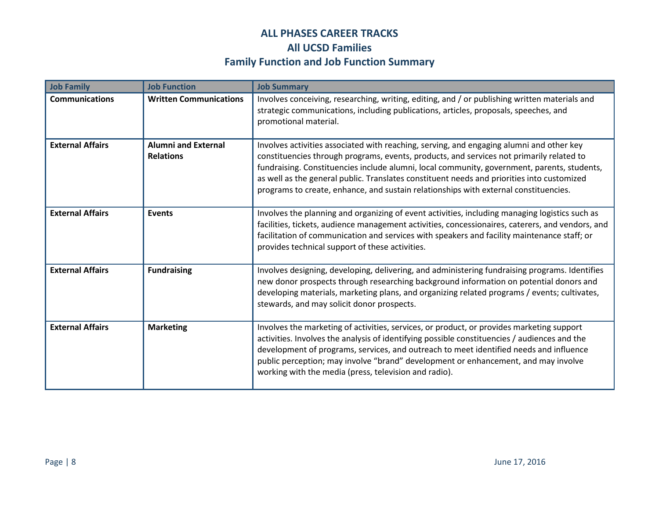| <b>Job Family</b>       | <b>Job Function</b>                            | <b>Job Summary</b>                                                                                                                                                                                                                                                                                                                                                                                                                                                        |
|-------------------------|------------------------------------------------|---------------------------------------------------------------------------------------------------------------------------------------------------------------------------------------------------------------------------------------------------------------------------------------------------------------------------------------------------------------------------------------------------------------------------------------------------------------------------|
| <b>Communications</b>   | <b>Written Communications</b>                  | Involves conceiving, researching, writing, editing, and / or publishing written materials and<br>strategic communications, including publications, articles, proposals, speeches, and<br>promotional material.                                                                                                                                                                                                                                                            |
| <b>External Affairs</b> | <b>Alumni and External</b><br><b>Relations</b> | Involves activities associated with reaching, serving, and engaging alumni and other key<br>constituencies through programs, events, products, and services not primarily related to<br>fundraising. Constituencies include alumni, local community, government, parents, students,<br>as well as the general public. Translates constituent needs and priorities into customized<br>programs to create, enhance, and sustain relationships with external constituencies. |
| <b>External Affairs</b> | <b>Events</b>                                  | Involves the planning and organizing of event activities, including managing logistics such as<br>facilities, tickets, audience management activities, concessionaires, caterers, and vendors, and<br>facilitation of communication and services with speakers and facility maintenance staff; or<br>provides technical support of these activities.                                                                                                                      |
| <b>External Affairs</b> | <b>Fundraising</b>                             | Involves designing, developing, delivering, and administering fundraising programs. Identifies<br>new donor prospects through researching background information on potential donors and<br>developing materials, marketing plans, and organizing related programs / events; cultivates,<br>stewards, and may solicit donor prospects.                                                                                                                                    |
| <b>External Affairs</b> | <b>Marketing</b>                               | Involves the marketing of activities, services, or product, or provides marketing support<br>activities. Involves the analysis of identifying possible constituencies / audiences and the<br>development of programs, services, and outreach to meet identified needs and influence<br>public perception; may involve "brand" development or enhancement, and may involve<br>working with the media (press, television and radio).                                        |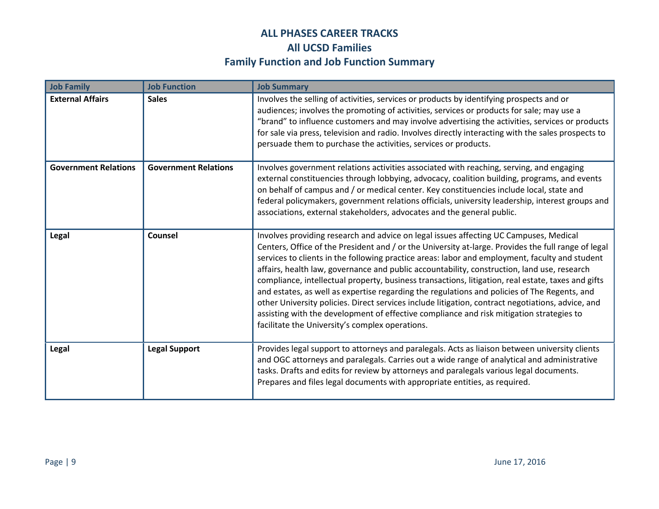| <b>Job Family</b>           | <b>Job Function</b>         | <b>Job Summary</b>                                                                                                                                                                                                                                                                                                                                                                                                                                                                                                                                                                                                                                                                                                                                                                                                                                      |
|-----------------------------|-----------------------------|---------------------------------------------------------------------------------------------------------------------------------------------------------------------------------------------------------------------------------------------------------------------------------------------------------------------------------------------------------------------------------------------------------------------------------------------------------------------------------------------------------------------------------------------------------------------------------------------------------------------------------------------------------------------------------------------------------------------------------------------------------------------------------------------------------------------------------------------------------|
| <b>External Affairs</b>     | <b>Sales</b>                | Involves the selling of activities, services or products by identifying prospects and or<br>audiences; involves the promoting of activities, services or products for sale; may use a<br>"brand" to influence customers and may involve advertising the activities, services or products<br>for sale via press, television and radio. Involves directly interacting with the sales prospects to<br>persuade them to purchase the activities, services or products.                                                                                                                                                                                                                                                                                                                                                                                      |
| <b>Government Relations</b> | <b>Government Relations</b> | Involves government relations activities associated with reaching, serving, and engaging<br>external constituencies through lobbying, advocacy, coalition building, programs, and events<br>on behalf of campus and / or medical center. Key constituencies include local, state and<br>federal policymakers, government relations officials, university leadership, interest groups and<br>associations, external stakeholders, advocates and the general public.                                                                                                                                                                                                                                                                                                                                                                                      |
| Legal                       | Counsel                     | Involves providing research and advice on legal issues affecting UC Campuses, Medical<br>Centers, Office of the President and / or the University at-large. Provides the full range of legal<br>services to clients in the following practice areas: labor and employment, faculty and student<br>affairs, health law, governance and public accountability, construction, land use, research<br>compliance, intellectual property, business transactions, litigation, real estate, taxes and gifts<br>and estates, as well as expertise regarding the regulations and policies of The Regents, and<br>other University policies. Direct services include litigation, contract negotiations, advice, and<br>assisting with the development of effective compliance and risk mitigation strategies to<br>facilitate the University's complex operations. |
| Legal                       | <b>Legal Support</b>        | Provides legal support to attorneys and paralegals. Acts as liaison between university clients<br>and OGC attorneys and paralegals. Carries out a wide range of analytical and administrative<br>tasks. Drafts and edits for review by attorneys and paralegals various legal documents.<br>Prepares and files legal documents with appropriate entities, as required.                                                                                                                                                                                                                                                                                                                                                                                                                                                                                  |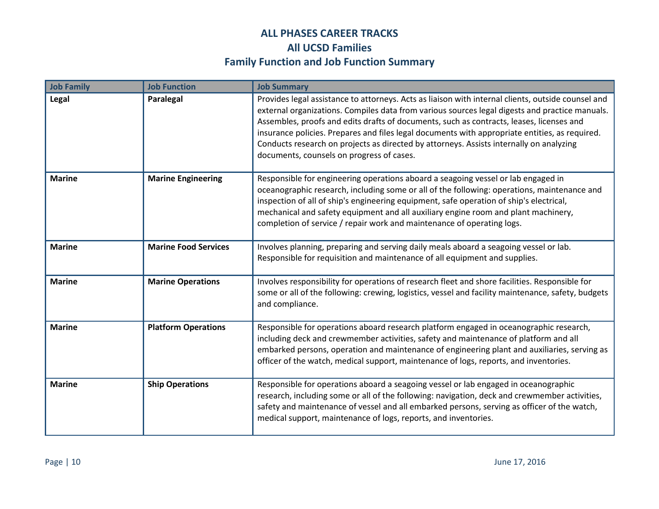| <b>Job Family</b> | <b>Job Function</b>         | <b>Job Summary</b>                                                                                                                                                                                                                                                                                                                                                                                                                                                                                                                         |
|-------------------|-----------------------------|--------------------------------------------------------------------------------------------------------------------------------------------------------------------------------------------------------------------------------------------------------------------------------------------------------------------------------------------------------------------------------------------------------------------------------------------------------------------------------------------------------------------------------------------|
| Legal             | Paralegal                   | Provides legal assistance to attorneys. Acts as liaison with internal clients, outside counsel and<br>external organizations. Compiles data from various sources legal digests and practice manuals.<br>Assembles, proofs and edits drafts of documents, such as contracts, leases, licenses and<br>insurance policies. Prepares and files legal documents with appropriate entities, as required.<br>Conducts research on projects as directed by attorneys. Assists internally on analyzing<br>documents, counsels on progress of cases. |
| <b>Marine</b>     | <b>Marine Engineering</b>   | Responsible for engineering operations aboard a seagoing vessel or lab engaged in<br>oceanographic research, including some or all of the following: operations, maintenance and<br>inspection of all of ship's engineering equipment, safe operation of ship's electrical,<br>mechanical and safety equipment and all auxiliary engine room and plant machinery,<br>completion of service / repair work and maintenance of operating logs.                                                                                                |
| <b>Marine</b>     | <b>Marine Food Services</b> | Involves planning, preparing and serving daily meals aboard a seagoing vessel or lab.<br>Responsible for requisition and maintenance of all equipment and supplies.                                                                                                                                                                                                                                                                                                                                                                        |
| <b>Marine</b>     | <b>Marine Operations</b>    | Involves responsibility for operations of research fleet and shore facilities. Responsible for<br>some or all of the following: crewing, logistics, vessel and facility maintenance, safety, budgets<br>and compliance.                                                                                                                                                                                                                                                                                                                    |
| <b>Marine</b>     | <b>Platform Operations</b>  | Responsible for operations aboard research platform engaged in oceanographic research,<br>including deck and crewmember activities, safety and maintenance of platform and all<br>embarked persons, operation and maintenance of engineering plant and auxiliaries, serving as<br>officer of the watch, medical support, maintenance of logs, reports, and inventories.                                                                                                                                                                    |
| <b>Marine</b>     | <b>Ship Operations</b>      | Responsible for operations aboard a seagoing vessel or lab engaged in oceanographic<br>research, including some or all of the following: navigation, deck and crewmember activities,<br>safety and maintenance of vessel and all embarked persons, serving as officer of the watch,<br>medical support, maintenance of logs, reports, and inventories.                                                                                                                                                                                     |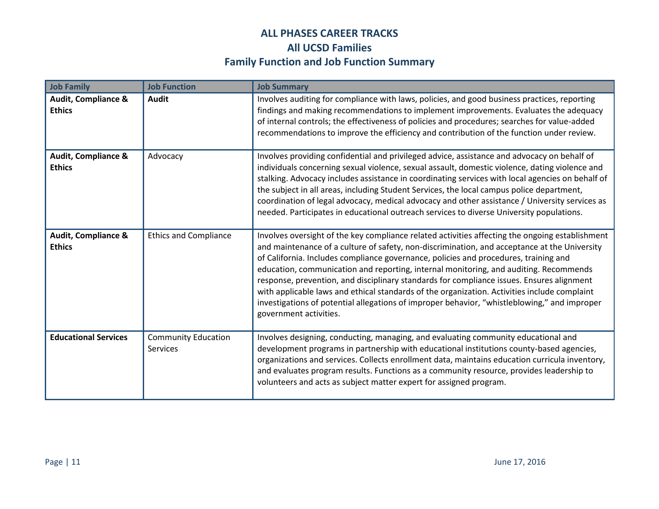| <b>Job Family</b>                               | <b>Job Function</b>                    | <b>Job Summary</b>                                                                                                                                                                                                                                                                                                                                                                                                                                                                                                                                                                                                                                                                                      |
|-------------------------------------------------|----------------------------------------|---------------------------------------------------------------------------------------------------------------------------------------------------------------------------------------------------------------------------------------------------------------------------------------------------------------------------------------------------------------------------------------------------------------------------------------------------------------------------------------------------------------------------------------------------------------------------------------------------------------------------------------------------------------------------------------------------------|
| <b>Audit, Compliance &amp;</b><br><b>Ethics</b> | <b>Audit</b>                           | Involves auditing for compliance with laws, policies, and good business practices, reporting<br>findings and making recommendations to implement improvements. Evaluates the adequacy<br>of internal controls; the effectiveness of policies and procedures; searches for value-added<br>recommendations to improve the efficiency and contribution of the function under review.                                                                                                                                                                                                                                                                                                                       |
| <b>Audit, Compliance &amp;</b><br><b>Ethics</b> | Advocacy                               | Involves providing confidential and privileged advice, assistance and advocacy on behalf of<br>individuals concerning sexual violence, sexual assault, domestic violence, dating violence and<br>stalking. Advocacy includes assistance in coordinating services with local agencies on behalf of<br>the subject in all areas, including Student Services, the local campus police department,<br>coordination of legal advocacy, medical advocacy and other assistance / University services as<br>needed. Participates in educational outreach services to diverse University populations.                                                                                                            |
| <b>Audit, Compliance &amp;</b><br><b>Ethics</b> | <b>Ethics and Compliance</b>           | Involves oversight of the key compliance related activities affecting the ongoing establishment<br>and maintenance of a culture of safety, non-discrimination, and acceptance at the University<br>of California. Includes compliance governance, policies and procedures, training and<br>education, communication and reporting, internal monitoring, and auditing. Recommends<br>response, prevention, and disciplinary standards for compliance issues. Ensures alignment<br>with applicable laws and ethical standards of the organization. Activities include complaint<br>investigations of potential allegations of improper behavior, "whistleblowing," and improper<br>government activities. |
| <b>Educational Services</b>                     | <b>Community Education</b><br>Services | Involves designing, conducting, managing, and evaluating community educational and<br>development programs in partnership with educational institutions county-based agencies,<br>organizations and services. Collects enrollment data, maintains education curricula inventory,<br>and evaluates program results. Functions as a community resource, provides leadership to<br>volunteers and acts as subject matter expert for assigned program.                                                                                                                                                                                                                                                      |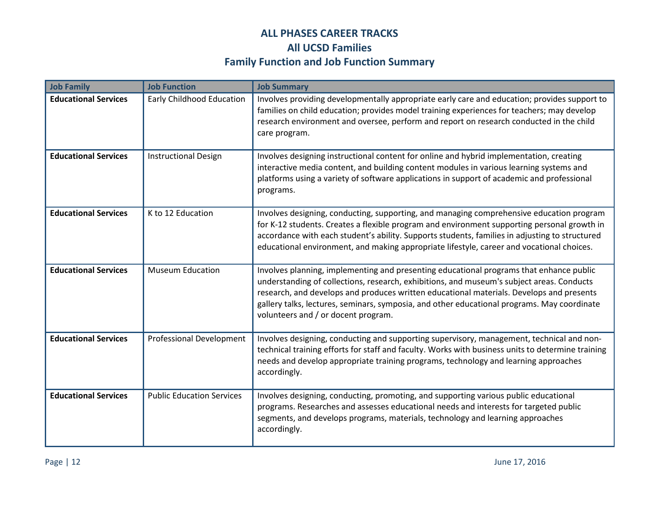| <b>Job Family</b>           | <b>Job Function</b>              | <b>Job Summary</b>                                                                                                                                                                                                                                                                                                                                                                                                     |
|-----------------------------|----------------------------------|------------------------------------------------------------------------------------------------------------------------------------------------------------------------------------------------------------------------------------------------------------------------------------------------------------------------------------------------------------------------------------------------------------------------|
| <b>Educational Services</b> | <b>Early Childhood Education</b> | Involves providing developmentally appropriate early care and education; provides support to<br>families on child education; provides model training experiences for teachers; may develop<br>research environment and oversee, perform and report on research conducted in the child<br>care program.                                                                                                                 |
| <b>Educational Services</b> | <b>Instructional Design</b>      | Involves designing instructional content for online and hybrid implementation, creating<br>interactive media content, and building content modules in various learning systems and<br>platforms using a variety of software applications in support of academic and professional<br>programs.                                                                                                                          |
| <b>Educational Services</b> | K to 12 Education                | Involves designing, conducting, supporting, and managing comprehensive education program<br>for K-12 students. Creates a flexible program and environment supporting personal growth in<br>accordance with each student's ability. Supports students, families in adjusting to structured<br>educational environment, and making appropriate lifestyle, career and vocational choices.                                 |
| <b>Educational Services</b> | <b>Museum Education</b>          | Involves planning, implementing and presenting educational programs that enhance public<br>understanding of collections, research, exhibitions, and museum's subject areas. Conducts<br>research, and develops and produces written educational materials. Develops and presents<br>gallery talks, lectures, seminars, symposia, and other educational programs. May coordinate<br>volunteers and / or docent program. |
| <b>Educational Services</b> | <b>Professional Development</b>  | Involves designing, conducting and supporting supervisory, management, technical and non-<br>technical training efforts for staff and faculty. Works with business units to determine training<br>needs and develop appropriate training programs, technology and learning approaches<br>accordingly.                                                                                                                  |
| <b>Educational Services</b> | <b>Public Education Services</b> | Involves designing, conducting, promoting, and supporting various public educational<br>programs. Researches and assesses educational needs and interests for targeted public<br>segments, and develops programs, materials, technology and learning approaches<br>accordingly.                                                                                                                                        |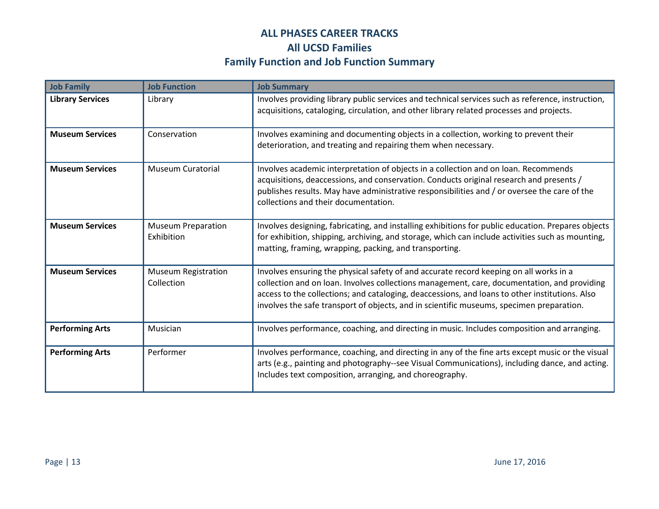| <b>Job Family</b>       | <b>Job Function</b>                      | <b>Job Summary</b>                                                                                                                                                                                                                                                                                                                                                                  |
|-------------------------|------------------------------------------|-------------------------------------------------------------------------------------------------------------------------------------------------------------------------------------------------------------------------------------------------------------------------------------------------------------------------------------------------------------------------------------|
| <b>Library Services</b> | Library                                  | Involves providing library public services and technical services such as reference, instruction,<br>acquisitions, cataloging, circulation, and other library related processes and projects.                                                                                                                                                                                       |
| <b>Museum Services</b>  | Conservation                             | Involves examining and documenting objects in a collection, working to prevent their<br>deterioration, and treating and repairing them when necessary.                                                                                                                                                                                                                              |
| <b>Museum Services</b>  | <b>Museum Curatorial</b>                 | Involves academic interpretation of objects in a collection and on loan. Recommends<br>acquisitions, deaccessions, and conservation. Conducts original research and presents /<br>publishes results. May have administrative responsibilities and / or oversee the care of the<br>collections and their documentation.                                                              |
| <b>Museum Services</b>  | <b>Museum Preparation</b><br>Exhibition  | Involves designing, fabricating, and installing exhibitions for public education. Prepares objects<br>for exhibition, shipping, archiving, and storage, which can include activities such as mounting,<br>matting, framing, wrapping, packing, and transporting.                                                                                                                    |
| <b>Museum Services</b>  | <b>Museum Registration</b><br>Collection | Involves ensuring the physical safety of and accurate record keeping on all works in a<br>collection and on loan. Involves collections management, care, documentation, and providing<br>access to the collections; and cataloging, deaccessions, and loans to other institutions. Also<br>involves the safe transport of objects, and in scientific museums, specimen preparation. |
| <b>Performing Arts</b>  | Musician                                 | Involves performance, coaching, and directing in music. Includes composition and arranging.                                                                                                                                                                                                                                                                                         |
| <b>Performing Arts</b>  | Performer                                | Involves performance, coaching, and directing in any of the fine arts except music or the visual<br>arts (e.g., painting and photography--see Visual Communications), including dance, and acting.<br>Includes text composition, arranging, and choreography.                                                                                                                       |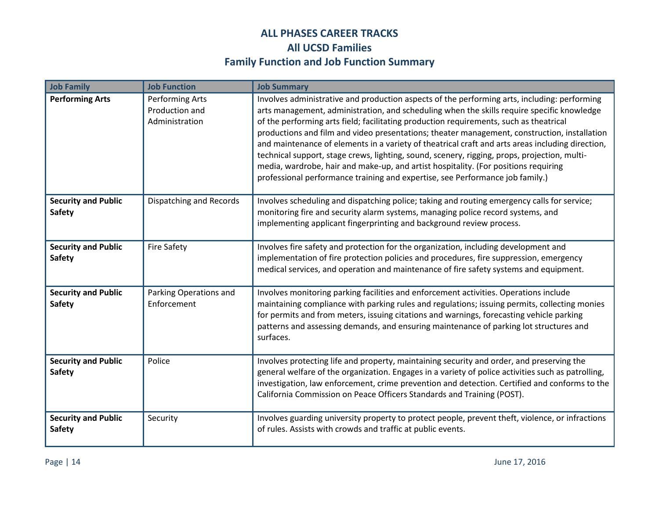| <b>Job Family</b>                           | <b>Job Function</b>                                        | <b>Job Summary</b>                                                                                                                                                                                                                                                                                                                                                                                                                                                                                                                                                                                                                                                                                                                                               |
|---------------------------------------------|------------------------------------------------------------|------------------------------------------------------------------------------------------------------------------------------------------------------------------------------------------------------------------------------------------------------------------------------------------------------------------------------------------------------------------------------------------------------------------------------------------------------------------------------------------------------------------------------------------------------------------------------------------------------------------------------------------------------------------------------------------------------------------------------------------------------------------|
| <b>Performing Arts</b>                      | <b>Performing Arts</b><br>Production and<br>Administration | Involves administrative and production aspects of the performing arts, including: performing<br>arts management, administration, and scheduling when the skills require specific knowledge<br>of the performing arts field; facilitating production requirements, such as theatrical<br>productions and film and video presentations; theater management, construction, installation<br>and maintenance of elements in a variety of theatrical craft and arts areas including direction,<br>technical support, stage crews, lighting, sound, scenery, rigging, props, projection, multi-<br>media, wardrobe, hair and make-up, and artist hospitality. (For positions requiring<br>professional performance training and expertise, see Performance job family.) |
| <b>Security and Public</b><br><b>Safety</b> | Dispatching and Records                                    | Involves scheduling and dispatching police; taking and routing emergency calls for service;<br>monitoring fire and security alarm systems, managing police record systems, and<br>implementing applicant fingerprinting and background review process.                                                                                                                                                                                                                                                                                                                                                                                                                                                                                                           |
| <b>Security and Public</b><br>Safety        | <b>Fire Safety</b>                                         | Involves fire safety and protection for the organization, including development and<br>implementation of fire protection policies and procedures, fire suppression, emergency<br>medical services, and operation and maintenance of fire safety systems and equipment.                                                                                                                                                                                                                                                                                                                                                                                                                                                                                           |
| <b>Security and Public</b><br>Safety        | Parking Operations and<br>Enforcement                      | Involves monitoring parking facilities and enforcement activities. Operations include<br>maintaining compliance with parking rules and regulations; issuing permits, collecting monies<br>for permits and from meters, issuing citations and warnings, forecasting vehicle parking<br>patterns and assessing demands, and ensuring maintenance of parking lot structures and<br>surfaces.                                                                                                                                                                                                                                                                                                                                                                        |
| <b>Security and Public</b><br>Safety        | Police                                                     | Involves protecting life and property, maintaining security and order, and preserving the<br>general welfare of the organization. Engages in a variety of police activities such as patrolling,<br>investigation, law enforcement, crime prevention and detection. Certified and conforms to the<br>California Commission on Peace Officers Standards and Training (POST).                                                                                                                                                                                                                                                                                                                                                                                       |
| <b>Security and Public</b><br>Safety        | Security                                                   | Involves guarding university property to protect people, prevent theft, violence, or infractions<br>of rules. Assists with crowds and traffic at public events.                                                                                                                                                                                                                                                                                                                                                                                                                                                                                                                                                                                                  |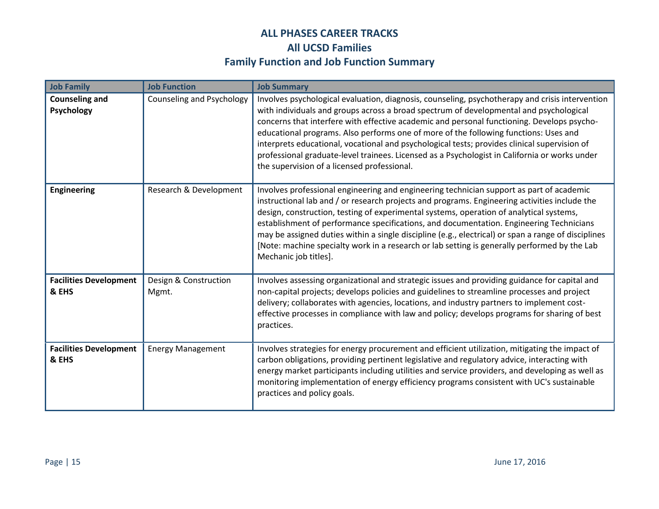| <b>Job Family</b>                      | <b>Job Function</b>            | <b>Job Summary</b>                                                                                                                                                                                                                                                                                                                                                                                                                                                                                                                                                                                                              |
|----------------------------------------|--------------------------------|---------------------------------------------------------------------------------------------------------------------------------------------------------------------------------------------------------------------------------------------------------------------------------------------------------------------------------------------------------------------------------------------------------------------------------------------------------------------------------------------------------------------------------------------------------------------------------------------------------------------------------|
| <b>Counseling and</b><br>Psychology    | Counseling and Psychology      | Involves psychological evaluation, diagnosis, counseling, psychotherapy and crisis intervention<br>with individuals and groups across a broad spectrum of developmental and psychological<br>concerns that interfere with effective academic and personal functioning. Develops psycho-<br>educational programs. Also performs one of more of the following functions: Uses and<br>interprets educational, vocational and psychological tests; provides clinical supervision of<br>professional graduate-level trainees. Licensed as a Psychologist in California or works under<br>the supervision of a licensed professional. |
| <b>Engineering</b>                     | Research & Development         | Involves professional engineering and engineering technician support as part of academic<br>instructional lab and / or research projects and programs. Engineering activities include the<br>design, construction, testing of experimental systems, operation of analytical systems,<br>establishment of performance specifications, and documentation. Engineering Technicians<br>may be assigned duties within a single discipline (e.g., electrical) or span a range of disciplines<br>[Note: machine specialty work in a research or lab setting is generally performed by the Lab<br>Mechanic job titles].                 |
| <b>Facilities Development</b><br>& EHS | Design & Construction<br>Mgmt. | Involves assessing organizational and strategic issues and providing guidance for capital and<br>non-capital projects; develops policies and guidelines to streamline processes and project<br>delivery; collaborates with agencies, locations, and industry partners to implement cost-<br>effective processes in compliance with law and policy; develops programs for sharing of best<br>practices.                                                                                                                                                                                                                          |
| <b>Facilities Development</b><br>& EHS | <b>Energy Management</b>       | Involves strategies for energy procurement and efficient utilization, mitigating the impact of<br>carbon obligations, providing pertinent legislative and regulatory advice, interacting with<br>energy market participants including utilities and service providers, and developing as well as<br>monitoring implementation of energy efficiency programs consistent with UC's sustainable<br>practices and policy goals.                                                                                                                                                                                                     |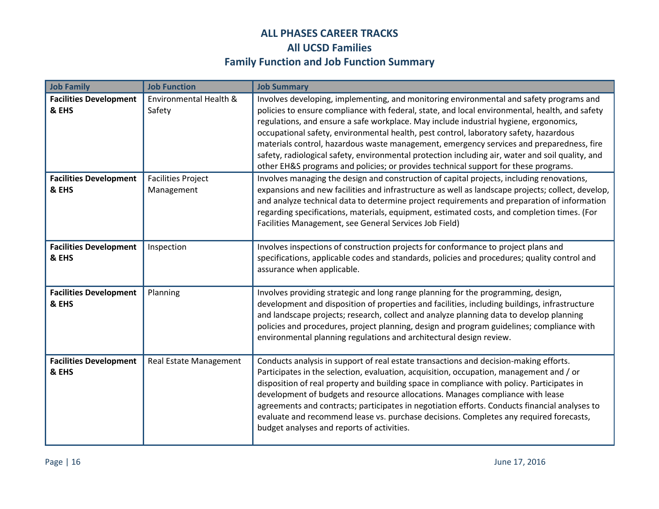| <b>Job Family</b>                      | <b>Job Function</b>                     | <b>Job Summary</b>                                                                                                                                                                                                                                                                                                                                                                                                                                                                                                                                                                                                                                                 |
|----------------------------------------|-----------------------------------------|--------------------------------------------------------------------------------------------------------------------------------------------------------------------------------------------------------------------------------------------------------------------------------------------------------------------------------------------------------------------------------------------------------------------------------------------------------------------------------------------------------------------------------------------------------------------------------------------------------------------------------------------------------------------|
| <b>Facilities Development</b><br>& EHS | Environmental Health &<br>Safety        | Involves developing, implementing, and monitoring environmental and safety programs and<br>policies to ensure compliance with federal, state, and local environmental, health, and safety<br>regulations, and ensure a safe workplace. May include industrial hygiene, ergonomics,<br>occupational safety, environmental health, pest control, laboratory safety, hazardous<br>materials control, hazardous waste management, emergency services and preparedness, fire<br>safety, radiological safety, environmental protection including air, water and soil quality, and<br>other EH&S programs and policies; or provides technical support for these programs. |
| <b>Facilities Development</b><br>& EHS | <b>Facilities Project</b><br>Management | Involves managing the design and construction of capital projects, including renovations,<br>expansions and new facilities and infrastructure as well as landscape projects; collect, develop,<br>and analyze technical data to determine project requirements and preparation of information<br>regarding specifications, materials, equipment, estimated costs, and completion times. (For<br>Facilities Management, see General Services Job Field)                                                                                                                                                                                                             |
| <b>Facilities Development</b><br>& EHS | Inspection                              | Involves inspections of construction projects for conformance to project plans and<br>specifications, applicable codes and standards, policies and procedures; quality control and<br>assurance when applicable.                                                                                                                                                                                                                                                                                                                                                                                                                                                   |
| <b>Facilities Development</b><br>& EHS | Planning                                | Involves providing strategic and long range planning for the programming, design,<br>development and disposition of properties and facilities, including buildings, infrastructure<br>and landscape projects; research, collect and analyze planning data to develop planning<br>policies and procedures, project planning, design and program guidelines; compliance with<br>environmental planning regulations and architectural design review.                                                                                                                                                                                                                  |
| <b>Facilities Development</b><br>& EHS | Real Estate Management                  | Conducts analysis in support of real estate transactions and decision-making efforts.<br>Participates in the selection, evaluation, acquisition, occupation, management and / or<br>disposition of real property and building space in compliance with policy. Participates in<br>development of budgets and resource allocations. Manages compliance with lease<br>agreements and contracts; participates in negotiation efforts. Conducts financial analyses to<br>evaluate and recommend lease vs. purchase decisions. Completes any required forecasts,<br>budget analyses and reports of activities.                                                          |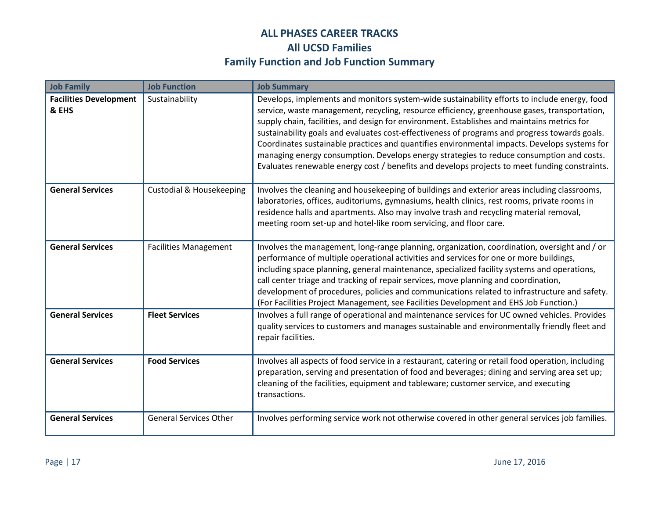| <b>Job Family</b>                      | <b>Job Function</b>                 | <b>Job Summary</b>                                                                                                                                                                                                                                                                                                                                                                                                                                                                                                                                                                                                                                                                        |
|----------------------------------------|-------------------------------------|-------------------------------------------------------------------------------------------------------------------------------------------------------------------------------------------------------------------------------------------------------------------------------------------------------------------------------------------------------------------------------------------------------------------------------------------------------------------------------------------------------------------------------------------------------------------------------------------------------------------------------------------------------------------------------------------|
| <b>Facilities Development</b><br>& EHS | Sustainability                      | Develops, implements and monitors system-wide sustainability efforts to include energy, food<br>service, waste management, recycling, resource efficiency, greenhouse gases, transportation,<br>supply chain, facilities, and design for environment. Establishes and maintains metrics for<br>sustainability goals and evaluates cost-effectiveness of programs and progress towards goals.<br>Coordinates sustainable practices and quantifies environmental impacts. Develops systems for<br>managing energy consumption. Develops energy strategies to reduce consumption and costs.<br>Evaluates renewable energy cost / benefits and develops projects to meet funding constraints. |
| <b>General Services</b>                | <b>Custodial &amp; Housekeeping</b> | Involves the cleaning and housekeeping of buildings and exterior areas including classrooms,<br>laboratories, offices, auditoriums, gymnasiums, health clinics, rest rooms, private rooms in<br>residence halls and apartments. Also may involve trash and recycling material removal,<br>meeting room set-up and hotel-like room servicing, and floor care.                                                                                                                                                                                                                                                                                                                              |
| <b>General Services</b>                | <b>Facilities Management</b>        | Involves the management, long-range planning, organization, coordination, oversight and / or<br>performance of multiple operational activities and services for one or more buildings,<br>including space planning, general maintenance, specialized facility systems and operations,<br>call center triage and tracking of repair services, move planning and coordination,<br>development of procedures, policies and communications related to infrastructure and safety.<br>(For Facilities Project Management, see Facilities Development and EHS Job Function.)                                                                                                                     |
| <b>General Services</b>                | <b>Fleet Services</b>               | Involves a full range of operational and maintenance services for UC owned vehicles. Provides<br>quality services to customers and manages sustainable and environmentally friendly fleet and<br>repair facilities.                                                                                                                                                                                                                                                                                                                                                                                                                                                                       |
| <b>General Services</b>                | <b>Food Services</b>                | Involves all aspects of food service in a restaurant, catering or retail food operation, including<br>preparation, serving and presentation of food and beverages; dining and serving area set up;<br>cleaning of the facilities, equipment and tableware; customer service, and executing<br>transactions.                                                                                                                                                                                                                                                                                                                                                                               |
| <b>General Services</b>                | <b>General Services Other</b>       | Involves performing service work not otherwise covered in other general services job families.                                                                                                                                                                                                                                                                                                                                                                                                                                                                                                                                                                                            |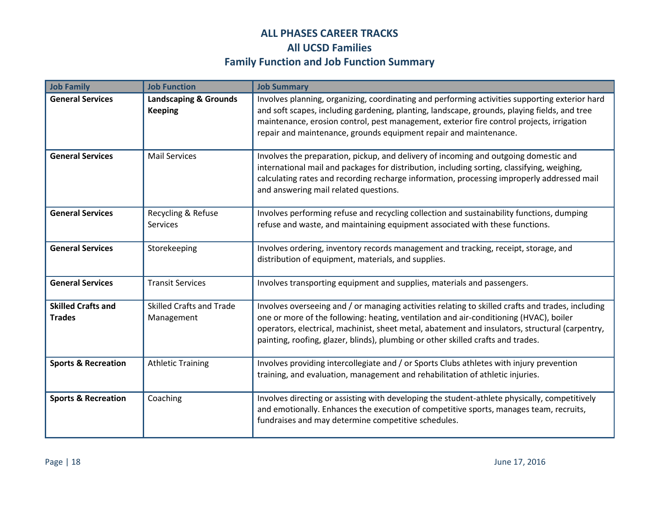| <b>Job Family</b>                          | <b>Job Function</b>                                | <b>Job Summary</b>                                                                                                                                                                                                                                                                                                                                                                 |
|--------------------------------------------|----------------------------------------------------|------------------------------------------------------------------------------------------------------------------------------------------------------------------------------------------------------------------------------------------------------------------------------------------------------------------------------------------------------------------------------------|
| <b>General Services</b>                    | <b>Landscaping &amp; Grounds</b><br><b>Keeping</b> | Involves planning, organizing, coordinating and performing activities supporting exterior hard<br>and soft scapes, including gardening, planting, landscape, grounds, playing fields, and tree<br>maintenance, erosion control, pest management, exterior fire control projects, irrigation<br>repair and maintenance, grounds equipment repair and maintenance.                   |
| <b>General Services</b>                    | <b>Mail Services</b>                               | Involves the preparation, pickup, and delivery of incoming and outgoing domestic and<br>international mail and packages for distribution, including sorting, classifying, weighing,<br>calculating rates and recording recharge information, processing improperly addressed mail<br>and answering mail related questions.                                                         |
| <b>General Services</b>                    | Recycling & Refuse<br>Services                     | Involves performing refuse and recycling collection and sustainability functions, dumping<br>refuse and waste, and maintaining equipment associated with these functions.                                                                                                                                                                                                          |
| <b>General Services</b>                    | Storekeeping                                       | Involves ordering, inventory records management and tracking, receipt, storage, and<br>distribution of equipment, materials, and supplies.                                                                                                                                                                                                                                         |
| <b>General Services</b>                    | <b>Transit Services</b>                            | Involves transporting equipment and supplies, materials and passengers.                                                                                                                                                                                                                                                                                                            |
| <b>Skilled Crafts and</b><br><b>Trades</b> | <b>Skilled Crafts and Trade</b><br>Management      | Involves overseeing and / or managing activities relating to skilled crafts and trades, including<br>one or more of the following: heating, ventilation and air-conditioning (HVAC), boiler<br>operators, electrical, machinist, sheet metal, abatement and insulators, structural (carpentry,<br>painting, roofing, glazer, blinds), plumbing or other skilled crafts and trades. |
| <b>Sports &amp; Recreation</b>             | <b>Athletic Training</b>                           | Involves providing intercollegiate and / or Sports Clubs athletes with injury prevention<br>training, and evaluation, management and rehabilitation of athletic injuries.                                                                                                                                                                                                          |
| <b>Sports &amp; Recreation</b>             | Coaching                                           | Involves directing or assisting with developing the student-athlete physically, competitively<br>and emotionally. Enhances the execution of competitive sports, manages team, recruits,<br>fundraises and may determine competitive schedules.                                                                                                                                     |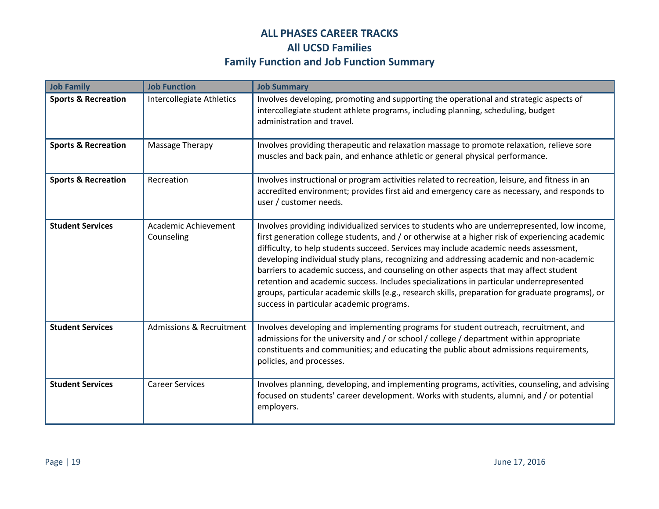| <b>Job Family</b>              | <b>Job Function</b>                 | <b>Job Summary</b>                                                                                                                                                                                                                                                                                                                                                                                                                                                                                                                                                                                                                                                                                                       |
|--------------------------------|-------------------------------------|--------------------------------------------------------------------------------------------------------------------------------------------------------------------------------------------------------------------------------------------------------------------------------------------------------------------------------------------------------------------------------------------------------------------------------------------------------------------------------------------------------------------------------------------------------------------------------------------------------------------------------------------------------------------------------------------------------------------------|
| <b>Sports &amp; Recreation</b> | Intercollegiate Athletics           | Involves developing, promoting and supporting the operational and strategic aspects of<br>intercollegiate student athlete programs, including planning, scheduling, budget<br>administration and travel.                                                                                                                                                                                                                                                                                                                                                                                                                                                                                                                 |
| <b>Sports &amp; Recreation</b> | Massage Therapy                     | Involves providing therapeutic and relaxation massage to promote relaxation, relieve sore<br>muscles and back pain, and enhance athletic or general physical performance.                                                                                                                                                                                                                                                                                                                                                                                                                                                                                                                                                |
| <b>Sports &amp; Recreation</b> | Recreation                          | Involves instructional or program activities related to recreation, leisure, and fitness in an<br>accredited environment; provides first aid and emergency care as necessary, and responds to<br>user / customer needs.                                                                                                                                                                                                                                                                                                                                                                                                                                                                                                  |
| <b>Student Services</b>        | Academic Achievement<br>Counseling  | Involves providing individualized services to students who are underrepresented, low income,<br>first generation college students, and / or otherwise at a higher risk of experiencing academic<br>difficulty, to help students succeed. Services may include academic needs assessment,<br>developing individual study plans, recognizing and addressing academic and non-academic<br>barriers to academic success, and counseling on other aspects that may affect student<br>retention and academic success. Includes specializations in particular underrepresented<br>groups, particular academic skills (e.g., research skills, preparation for graduate programs), or<br>success in particular academic programs. |
| <b>Student Services</b>        | <b>Admissions &amp; Recruitment</b> | Involves developing and implementing programs for student outreach, recruitment, and<br>admissions for the university and / or school / college / department within appropriate<br>constituents and communities; and educating the public about admissions requirements,<br>policies, and processes.                                                                                                                                                                                                                                                                                                                                                                                                                     |
| <b>Student Services</b>        | <b>Career Services</b>              | Involves planning, developing, and implementing programs, activities, counseling, and advising<br>focused on students' career development. Works with students, alumni, and / or potential<br>employers.                                                                                                                                                                                                                                                                                                                                                                                                                                                                                                                 |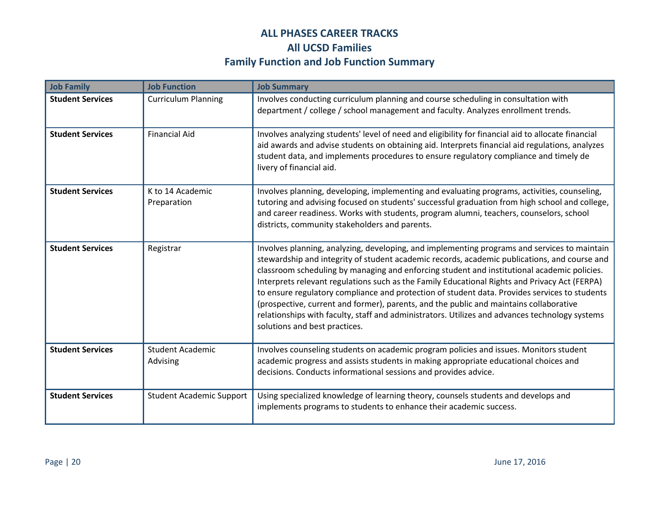| <b>Job Family</b>       | <b>Job Function</b>                 | <b>Job Summary</b>                                                                                                                                                                                                                                                                                                                                                                                                                                                                                                                                                                                                                                                                                                         |
|-------------------------|-------------------------------------|----------------------------------------------------------------------------------------------------------------------------------------------------------------------------------------------------------------------------------------------------------------------------------------------------------------------------------------------------------------------------------------------------------------------------------------------------------------------------------------------------------------------------------------------------------------------------------------------------------------------------------------------------------------------------------------------------------------------------|
| <b>Student Services</b> | <b>Curriculum Planning</b>          | Involves conducting curriculum planning and course scheduling in consultation with<br>department / college / school management and faculty. Analyzes enrollment trends.                                                                                                                                                                                                                                                                                                                                                                                                                                                                                                                                                    |
| <b>Student Services</b> | <b>Financial Aid</b>                | Involves analyzing students' level of need and eligibility for financial aid to allocate financial<br>aid awards and advise students on obtaining aid. Interprets financial aid regulations, analyzes<br>student data, and implements procedures to ensure regulatory compliance and timely de<br>livery of financial aid.                                                                                                                                                                                                                                                                                                                                                                                                 |
| <b>Student Services</b> | K to 14 Academic<br>Preparation     | Involves planning, developing, implementing and evaluating programs, activities, counseling,<br>tutoring and advising focused on students' successful graduation from high school and college,<br>and career readiness. Works with students, program alumni, teachers, counselors, school<br>districts, community stakeholders and parents.                                                                                                                                                                                                                                                                                                                                                                                |
| <b>Student Services</b> | Registrar                           | Involves planning, analyzing, developing, and implementing programs and services to maintain<br>stewardship and integrity of student academic records, academic publications, and course and<br>classroom scheduling by managing and enforcing student and institutional academic policies.<br>Interprets relevant regulations such as the Family Educational Rights and Privacy Act (FERPA)<br>to ensure regulatory compliance and protection of student data. Provides services to students<br>(prospective, current and former), parents, and the public and maintains collaborative<br>relationships with faculty, staff and administrators. Utilizes and advances technology systems<br>solutions and best practices. |
| <b>Student Services</b> | <b>Student Academic</b><br>Advising | Involves counseling students on academic program policies and issues. Monitors student<br>academic progress and assists students in making appropriate educational choices and<br>decisions. Conducts informational sessions and provides advice.                                                                                                                                                                                                                                                                                                                                                                                                                                                                          |
| <b>Student Services</b> | <b>Student Academic Support</b>     | Using specialized knowledge of learning theory, counsels students and develops and<br>implements programs to students to enhance their academic success.                                                                                                                                                                                                                                                                                                                                                                                                                                                                                                                                                                   |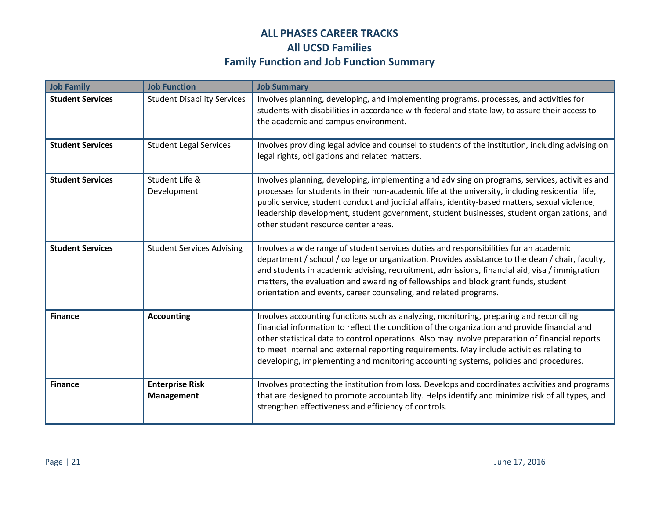| <b>Job Family</b>       | <b>Job Function</b>                         | <b>Job Summary</b>                                                                                                                                                                                                                                                                                                                                                                                                                                                            |
|-------------------------|---------------------------------------------|-------------------------------------------------------------------------------------------------------------------------------------------------------------------------------------------------------------------------------------------------------------------------------------------------------------------------------------------------------------------------------------------------------------------------------------------------------------------------------|
| <b>Student Services</b> | <b>Student Disability Services</b>          | Involves planning, developing, and implementing programs, processes, and activities for<br>students with disabilities in accordance with federal and state law, to assure their access to<br>the academic and campus environment.                                                                                                                                                                                                                                             |
| <b>Student Services</b> | <b>Student Legal Services</b>               | Involves providing legal advice and counsel to students of the institution, including advising on<br>legal rights, obligations and related matters.                                                                                                                                                                                                                                                                                                                           |
| <b>Student Services</b> | Student Life &<br>Development               | Involves planning, developing, implementing and advising on programs, services, activities and<br>processes for students in their non-academic life at the university, including residential life,<br>public service, student conduct and judicial affairs, identity-based matters, sexual violence,<br>leadership development, student government, student businesses, student organizations, and<br>other student resource center areas.                                    |
| <b>Student Services</b> | <b>Student Services Advising</b>            | Involves a wide range of student services duties and responsibilities for an academic<br>department / school / college or organization. Provides assistance to the dean / chair, faculty,<br>and students in academic advising, recruitment, admissions, financial aid, visa / immigration<br>matters, the evaluation and awarding of fellowships and block grant funds, student<br>orientation and events, career counseling, and related programs.                          |
| <b>Finance</b>          | <b>Accounting</b>                           | Involves accounting functions such as analyzing, monitoring, preparing and reconciling<br>financial information to reflect the condition of the organization and provide financial and<br>other statistical data to control operations. Also may involve preparation of financial reports<br>to meet internal and external reporting requirements. May include activities relating to<br>developing, implementing and monitoring accounting systems, policies and procedures. |
| <b>Finance</b>          | <b>Enterprise Risk</b><br><b>Management</b> | Involves protecting the institution from loss. Develops and coordinates activities and programs<br>that are designed to promote accountability. Helps identify and minimize risk of all types, and<br>strengthen effectiveness and efficiency of controls.                                                                                                                                                                                                                    |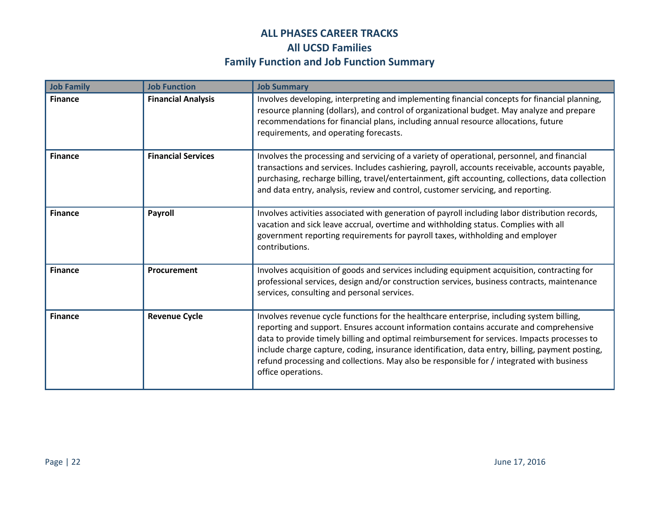| <b>Job Family</b> | <b>Job Function</b>       | <b>Job Summary</b>                                                                                                                                                                                                                                                                                                                                                                                                                                                                                       |
|-------------------|---------------------------|----------------------------------------------------------------------------------------------------------------------------------------------------------------------------------------------------------------------------------------------------------------------------------------------------------------------------------------------------------------------------------------------------------------------------------------------------------------------------------------------------------|
| <b>Finance</b>    | <b>Financial Analysis</b> | Involves developing, interpreting and implementing financial concepts for financial planning,<br>resource planning (dollars), and control of organizational budget. May analyze and prepare<br>recommendations for financial plans, including annual resource allocations, future<br>requirements, and operating forecasts.                                                                                                                                                                              |
| <b>Finance</b>    | <b>Financial Services</b> | Involves the processing and servicing of a variety of operational, personnel, and financial<br>transactions and services. Includes cashiering, payroll, accounts receivable, accounts payable,<br>purchasing, recharge billing, travel/entertainment, gift accounting, collections, data collection<br>and data entry, analysis, review and control, customer servicing, and reporting.                                                                                                                  |
| <b>Finance</b>    | <b>Payroll</b>            | Involves activities associated with generation of payroll including labor distribution records,<br>vacation and sick leave accrual, overtime and withholding status. Complies with all<br>government reporting requirements for payroll taxes, withholding and employer<br>contributions.                                                                                                                                                                                                                |
| <b>Finance</b>    | Procurement               | Involves acquisition of goods and services including equipment acquisition, contracting for<br>professional services, design and/or construction services, business contracts, maintenance<br>services, consulting and personal services.                                                                                                                                                                                                                                                                |
| <b>Finance</b>    | <b>Revenue Cycle</b>      | Involves revenue cycle functions for the healthcare enterprise, including system billing,<br>reporting and support. Ensures account information contains accurate and comprehensive<br>data to provide timely billing and optimal reimbursement for services. Impacts processes to<br>include charge capture, coding, insurance identification, data entry, billing, payment posting,<br>refund processing and collections. May also be responsible for / integrated with business<br>office operations. |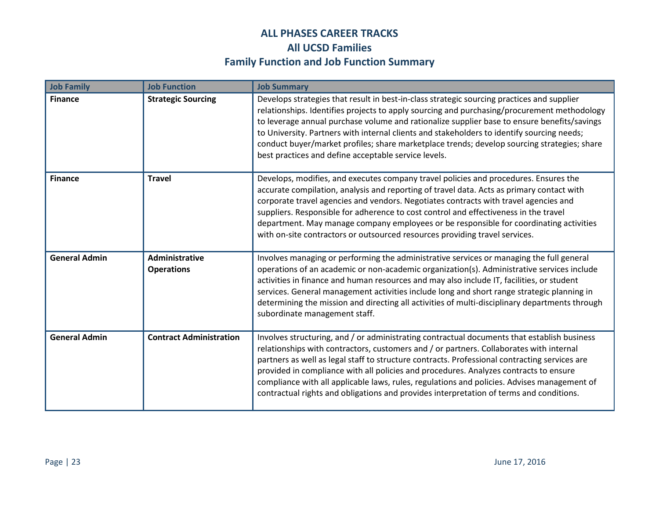| <b>Job Family</b>    | <b>Job Function</b>                 | <b>Job Summary</b>                                                                                                                                                                                                                                                                                                                                                                                                                                                                                                                                                         |
|----------------------|-------------------------------------|----------------------------------------------------------------------------------------------------------------------------------------------------------------------------------------------------------------------------------------------------------------------------------------------------------------------------------------------------------------------------------------------------------------------------------------------------------------------------------------------------------------------------------------------------------------------------|
| <b>Finance</b>       | <b>Strategic Sourcing</b>           | Develops strategies that result in best-in-class strategic sourcing practices and supplier<br>relationships. Identifies projects to apply sourcing and purchasing/procurement methodology<br>to leverage annual purchase volume and rationalize supplier base to ensure benefits/savings<br>to University. Partners with internal clients and stakeholders to identify sourcing needs;<br>conduct buyer/market profiles; share marketplace trends; develop sourcing strategies; share<br>best practices and define acceptable service levels.                              |
| <b>Finance</b>       | <b>Travel</b>                       | Develops, modifies, and executes company travel policies and procedures. Ensures the<br>accurate compilation, analysis and reporting of travel data. Acts as primary contact with<br>corporate travel agencies and vendors. Negotiates contracts with travel agencies and<br>suppliers. Responsible for adherence to cost control and effectiveness in the travel<br>department. May manage company employees or be responsible for coordinating activities<br>with on-site contractors or outsourced resources providing travel services.                                 |
| <b>General Admin</b> | Administrative<br><b>Operations</b> | Involves managing or performing the administrative services or managing the full general<br>operations of an academic or non-academic organization(s). Administrative services include<br>activities in finance and human resources and may also include IT, facilities, or student<br>services. General management activities include long and short range strategic planning in<br>determining the mission and directing all activities of multi-disciplinary departments through<br>subordinate management staff.                                                       |
| <b>General Admin</b> | <b>Contract Administration</b>      | Involves structuring, and / or administrating contractual documents that establish business<br>relationships with contractors, customers and / or partners. Collaborates with internal<br>partners as well as legal staff to structure contracts. Professional contracting services are<br>provided in compliance with all policies and procedures. Analyzes contracts to ensure<br>compliance with all applicable laws, rules, regulations and policies. Advises management of<br>contractual rights and obligations and provides interpretation of terms and conditions. |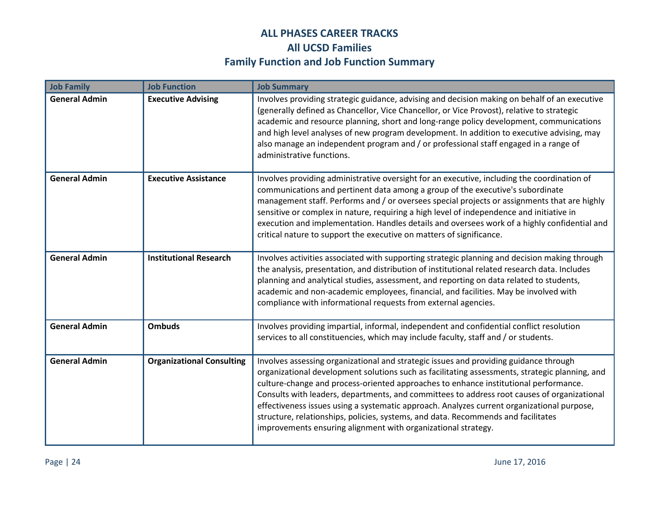| <b>Job Family</b>    | <b>Job Function</b>              | <b>Job Summary</b>                                                                                                                                                                                                                                                                                                                                                                                                                                                                                                                                                                                                                 |
|----------------------|----------------------------------|------------------------------------------------------------------------------------------------------------------------------------------------------------------------------------------------------------------------------------------------------------------------------------------------------------------------------------------------------------------------------------------------------------------------------------------------------------------------------------------------------------------------------------------------------------------------------------------------------------------------------------|
| <b>General Admin</b> | <b>Executive Advising</b>        | Involves providing strategic guidance, advising and decision making on behalf of an executive<br>(generally defined as Chancellor, Vice Chancellor, or Vice Provost), relative to strategic<br>academic and resource planning, short and long-range policy development, communications<br>and high level analyses of new program development. In addition to executive advising, may<br>also manage an independent program and / or professional staff engaged in a range of<br>administrative functions.                                                                                                                          |
| <b>General Admin</b> | <b>Executive Assistance</b>      | Involves providing administrative oversight for an executive, including the coordination of<br>communications and pertinent data among a group of the executive's subordinate<br>management staff. Performs and / or oversees special projects or assignments that are highly<br>sensitive or complex in nature, requiring a high level of independence and initiative in<br>execution and implementation. Handles details and oversees work of a highly confidential and<br>critical nature to support the executive on matters of significance.                                                                                  |
| <b>General Admin</b> | <b>Institutional Research</b>    | Involves activities associated with supporting strategic planning and decision making through<br>the analysis, presentation, and distribution of institutional related research data. Includes<br>planning and analytical studies, assessment, and reporting on data related to students,<br>academic and non-academic employees, financial, and facilities. May be involved with<br>compliance with informational requests from external agencies.                                                                                                                                                                                |
| <b>General Admin</b> | <b>Ombuds</b>                    | Involves providing impartial, informal, independent and confidential conflict resolution<br>services to all constituencies, which may include faculty, staff and / or students.                                                                                                                                                                                                                                                                                                                                                                                                                                                    |
| <b>General Admin</b> | <b>Organizational Consulting</b> | Involves assessing organizational and strategic issues and providing guidance through<br>organizational development solutions such as facilitating assessments, strategic planning, and<br>culture-change and process-oriented approaches to enhance institutional performance.<br>Consults with leaders, departments, and committees to address root causes of organizational<br>effectiveness issues using a systematic approach. Analyzes current organizational purpose,<br>structure, relationships, policies, systems, and data. Recommends and facilitates<br>improvements ensuring alignment with organizational strategy. |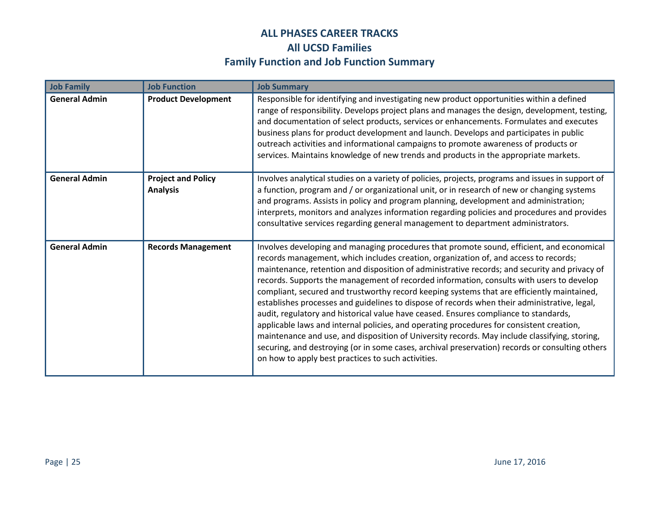| <b>Job Family</b>    | <b>Job Function</b>                          | <b>Job Summary</b>                                                                                                                                                                                                                                                                                                                                                                                                                                                                                                                                                                                                                                                                                                                                                                                                                                                                                                                                                                                                         |
|----------------------|----------------------------------------------|----------------------------------------------------------------------------------------------------------------------------------------------------------------------------------------------------------------------------------------------------------------------------------------------------------------------------------------------------------------------------------------------------------------------------------------------------------------------------------------------------------------------------------------------------------------------------------------------------------------------------------------------------------------------------------------------------------------------------------------------------------------------------------------------------------------------------------------------------------------------------------------------------------------------------------------------------------------------------------------------------------------------------|
| <b>General Admin</b> | <b>Product Development</b>                   | Responsible for identifying and investigating new product opportunities within a defined<br>range of responsibility. Develops project plans and manages the design, development, testing,<br>and documentation of select products, services or enhancements. Formulates and executes<br>business plans for product development and launch. Develops and participates in public<br>outreach activities and informational campaigns to promote awareness of products or<br>services. Maintains knowledge of new trends and products in the appropriate markets.                                                                                                                                                                                                                                                                                                                                                                                                                                                              |
| <b>General Admin</b> | <b>Project and Policy</b><br><b>Analysis</b> | Involves analytical studies on a variety of policies, projects, programs and issues in support of<br>a function, program and / or organizational unit, or in research of new or changing systems<br>and programs. Assists in policy and program planning, development and administration;<br>interprets, monitors and analyzes information regarding policies and procedures and provides<br>consultative services regarding general management to department administrators.                                                                                                                                                                                                                                                                                                                                                                                                                                                                                                                                              |
| <b>General Admin</b> | <b>Records Management</b>                    | Involves developing and managing procedures that promote sound, efficient, and economical<br>records management, which includes creation, organization of, and access to records;<br>maintenance, retention and disposition of administrative records; and security and privacy of<br>records. Supports the management of recorded information, consults with users to develop<br>compliant, secured and trustworthy record keeping systems that are efficiently maintained,<br>establishes processes and guidelines to dispose of records when their administrative, legal,<br>audit, regulatory and historical value have ceased. Ensures compliance to standards,<br>applicable laws and internal policies, and operating procedures for consistent creation,<br>maintenance and use, and disposition of University records. May include classifying, storing,<br>securing, and destroying (or in some cases, archival preservation) records or consulting others<br>on how to apply best practices to such activities. |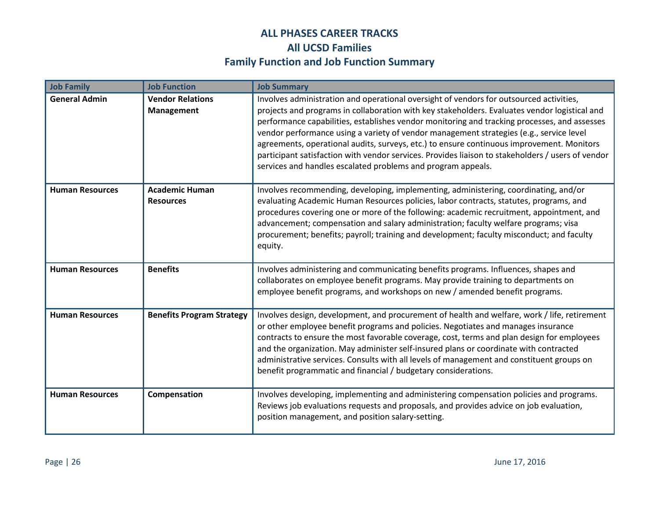| <b>Job Family</b>      | <b>Job Function</b>                          | <b>Job Summary</b>                                                                                                                                                                                                                                                                                                                                                                                                                                                                                                                                                                                                                                    |
|------------------------|----------------------------------------------|-------------------------------------------------------------------------------------------------------------------------------------------------------------------------------------------------------------------------------------------------------------------------------------------------------------------------------------------------------------------------------------------------------------------------------------------------------------------------------------------------------------------------------------------------------------------------------------------------------------------------------------------------------|
| <b>General Admin</b>   | <b>Vendor Relations</b><br><b>Management</b> | Involves administration and operational oversight of vendors for outsourced activities,<br>projects and programs in collaboration with key stakeholders. Evaluates vendor logistical and<br>performance capabilities, establishes vendor monitoring and tracking processes, and assesses<br>vendor performance using a variety of vendor management strategies (e.g., service level<br>agreements, operational audits, surveys, etc.) to ensure continuous improvement. Monitors<br>participant satisfaction with vendor services. Provides liaison to stakeholders / users of vendor<br>services and handles escalated problems and program appeals. |
| <b>Human Resources</b> | <b>Academic Human</b><br><b>Resources</b>    | Involves recommending, developing, implementing, administering, coordinating, and/or<br>evaluating Academic Human Resources policies, labor contracts, statutes, programs, and<br>procedures covering one or more of the following: academic recruitment, appointment, and<br>advancement; compensation and salary administration; faculty welfare programs; visa<br>procurement; benefits; payroll; training and development; faculty misconduct; and faculty<br>equity.                                                                                                                                                                             |
| <b>Human Resources</b> | <b>Benefits</b>                              | Involves administering and communicating benefits programs. Influences, shapes and<br>collaborates on employee benefit programs. May provide training to departments on<br>employee benefit programs, and workshops on new / amended benefit programs.                                                                                                                                                                                                                                                                                                                                                                                                |
| <b>Human Resources</b> | <b>Benefits Program Strategy</b>             | Involves design, development, and procurement of health and welfare, work / life, retirement<br>or other employee benefit programs and policies. Negotiates and manages insurance<br>contracts to ensure the most favorable coverage, cost, terms and plan design for employees<br>and the organization. May administer self-insured plans or coordinate with contracted<br>administrative services. Consults with all levels of management and constituent groups on<br>benefit programmatic and financial / budgetary considerations.                                                                                                               |
| <b>Human Resources</b> | Compensation                                 | Involves developing, implementing and administering compensation policies and programs.<br>Reviews job evaluations requests and proposals, and provides advice on job evaluation,<br>position management, and position salary-setting.                                                                                                                                                                                                                                                                                                                                                                                                                |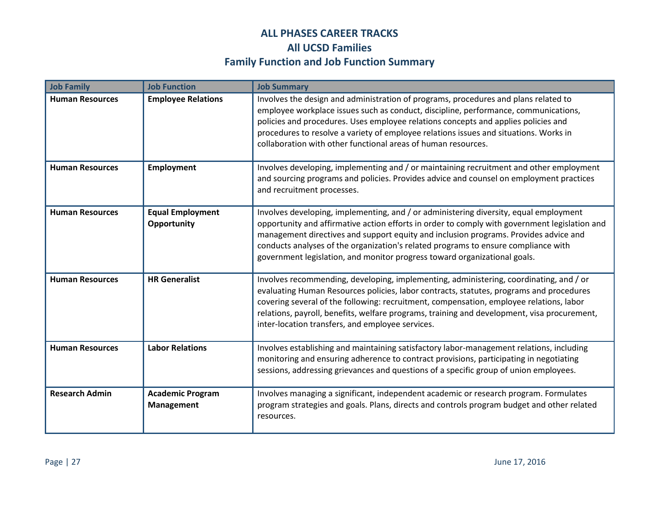| <b>Job Family</b>      | <b>Job Function</b>                          | <b>Job Summary</b>                                                                                                                                                                                                                                                                                                                                                                                                                                |
|------------------------|----------------------------------------------|---------------------------------------------------------------------------------------------------------------------------------------------------------------------------------------------------------------------------------------------------------------------------------------------------------------------------------------------------------------------------------------------------------------------------------------------------|
| <b>Human Resources</b> | <b>Employee Relations</b>                    | Involves the design and administration of programs, procedures and plans related to<br>employee workplace issues such as conduct, discipline, performance, communications,<br>policies and procedures. Uses employee relations concepts and applies policies and<br>procedures to resolve a variety of employee relations issues and situations. Works in<br>collaboration with other functional areas of human resources.                        |
| <b>Human Resources</b> | Employment                                   | Involves developing, implementing and / or maintaining recruitment and other employment<br>and sourcing programs and policies. Provides advice and counsel on employment practices<br>and recruitment processes.                                                                                                                                                                                                                                  |
| <b>Human Resources</b> | <b>Equal Employment</b><br>Opportunity       | Involves developing, implementing, and / or administering diversity, equal employment<br>opportunity and affirmative action efforts in order to comply with government legislation and<br>management directives and support equity and inclusion programs. Provides advice and<br>conducts analyses of the organization's related programs to ensure compliance with<br>government legislation, and monitor progress toward organizational goals. |
| <b>Human Resources</b> | <b>HR Generalist</b>                         | Involves recommending, developing, implementing, administering, coordinating, and / or<br>evaluating Human Resources policies, labor contracts, statutes, programs and procedures<br>covering several of the following: recruitment, compensation, employee relations, labor<br>relations, payroll, benefits, welfare programs, training and development, visa procurement,<br>inter-location transfers, and employee services.                   |
| <b>Human Resources</b> | <b>Labor Relations</b>                       | Involves establishing and maintaining satisfactory labor-management relations, including<br>monitoring and ensuring adherence to contract provisions, participating in negotiating<br>sessions, addressing grievances and questions of a specific group of union employees.                                                                                                                                                                       |
| <b>Research Admin</b>  | <b>Academic Program</b><br><b>Management</b> | Involves managing a significant, independent academic or research program. Formulates<br>program strategies and goals. Plans, directs and controls program budget and other related<br>resources.                                                                                                                                                                                                                                                 |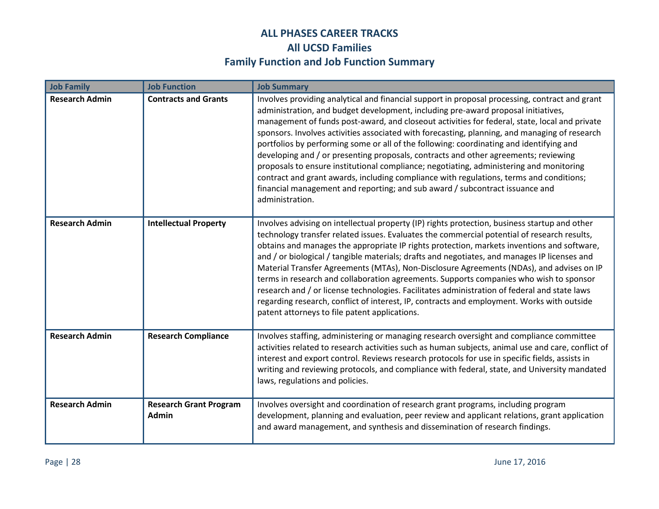| <b>Job Family</b>     | <b>Job Function</b>                           | <b>Job Summary</b>                                                                                                                                                                                                                                                                                                                                                                                                                                                                                                                                                                                                                                                                                                                                                                                                                                               |
|-----------------------|-----------------------------------------------|------------------------------------------------------------------------------------------------------------------------------------------------------------------------------------------------------------------------------------------------------------------------------------------------------------------------------------------------------------------------------------------------------------------------------------------------------------------------------------------------------------------------------------------------------------------------------------------------------------------------------------------------------------------------------------------------------------------------------------------------------------------------------------------------------------------------------------------------------------------|
| <b>Research Admin</b> | <b>Contracts and Grants</b>                   | Involves providing analytical and financial support in proposal processing, contract and grant<br>administration, and budget development, including pre-award proposal initiatives,<br>management of funds post-award, and closeout activities for federal, state, local and private<br>sponsors. Involves activities associated with forecasting, planning, and managing of research<br>portfolios by performing some or all of the following: coordinating and identifying and<br>developing and / or presenting proposals, contracts and other agreements; reviewing<br>proposals to ensure institutional compliance; negotiating, administering and monitoring<br>contract and grant awards, including compliance with regulations, terms and conditions;<br>financial management and reporting; and sub award / subcontract issuance and<br>administration. |
| <b>Research Admin</b> | <b>Intellectual Property</b>                  | Involves advising on intellectual property (IP) rights protection, business startup and other<br>technology transfer related issues. Evaluates the commercial potential of research results,<br>obtains and manages the appropriate IP rights protection, markets inventions and software,<br>and / or biological / tangible materials; drafts and negotiates, and manages IP licenses and<br>Material Transfer Agreements (MTAs), Non-Disclosure Agreements (NDAs), and advises on IP<br>terms in research and collaboration agreements. Supports companies who wish to sponsor<br>research and / or license technologies. Facilitates administration of federal and state laws<br>regarding research, conflict of interest, IP, contracts and employment. Works with outside<br>patent attorneys to file patent applications.                                  |
| <b>Research Admin</b> | <b>Research Compliance</b>                    | Involves staffing, administering or managing research oversight and compliance committee<br>activities related to research activities such as human subjects, animal use and care, conflict of<br>interest and export control. Reviews research protocols for use in specific fields, assists in<br>writing and reviewing protocols, and compliance with federal, state, and University mandated<br>laws, regulations and policies.                                                                                                                                                                                                                                                                                                                                                                                                                              |
| <b>Research Admin</b> | <b>Research Grant Program</b><br><b>Admin</b> | Involves oversight and coordination of research grant programs, including program<br>development, planning and evaluation, peer review and applicant relations, grant application<br>and award management, and synthesis and dissemination of research findings.                                                                                                                                                                                                                                                                                                                                                                                                                                                                                                                                                                                                 |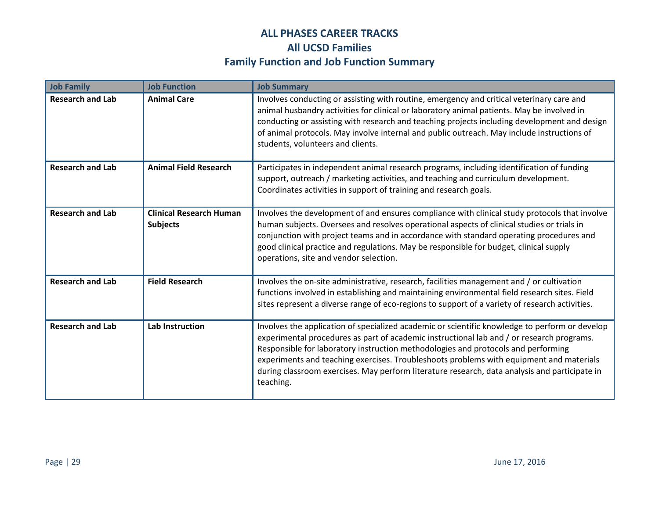| <b>Job Family</b>       | <b>Job Function</b>                               | <b>Job Summary</b>                                                                                                                                                                                                                                                                                                                                                                                                                                                                        |
|-------------------------|---------------------------------------------------|-------------------------------------------------------------------------------------------------------------------------------------------------------------------------------------------------------------------------------------------------------------------------------------------------------------------------------------------------------------------------------------------------------------------------------------------------------------------------------------------|
| <b>Research and Lab</b> | <b>Animal Care</b>                                | Involves conducting or assisting with routine, emergency and critical veterinary care and<br>animal husbandry activities for clinical or laboratory animal patients. May be involved in<br>conducting or assisting with research and teaching projects including development and design<br>of animal protocols. May involve internal and public outreach. May include instructions of<br>students, volunteers and clients.                                                                |
| <b>Research and Lab</b> | <b>Animal Field Research</b>                      | Participates in independent animal research programs, including identification of funding<br>support, outreach / marketing activities, and teaching and curriculum development.<br>Coordinates activities in support of training and research goals.                                                                                                                                                                                                                                      |
| <b>Research and Lab</b> | <b>Clinical Research Human</b><br><b>Subjects</b> | Involves the development of and ensures compliance with clinical study protocols that involve<br>human subjects. Oversees and resolves operational aspects of clinical studies or trials in<br>conjunction with project teams and in accordance with standard operating procedures and<br>good clinical practice and regulations. May be responsible for budget, clinical supply<br>operations, site and vendor selection.                                                                |
| <b>Research and Lab</b> | <b>Field Research</b>                             | Involves the on-site administrative, research, facilities management and / or cultivation<br>functions involved in establishing and maintaining environmental field research sites. Field<br>sites represent a diverse range of eco-regions to support of a variety of research activities.                                                                                                                                                                                               |
| <b>Research and Lab</b> | <b>Lab Instruction</b>                            | Involves the application of specialized academic or scientific knowledge to perform or develop<br>experimental procedures as part of academic instructional lab and / or research programs.<br>Responsible for laboratory instruction methodologies and protocols and performing<br>experiments and teaching exercises. Troubleshoots problems with equipment and materials<br>during classroom exercises. May perform literature research, data analysis and participate in<br>teaching. |